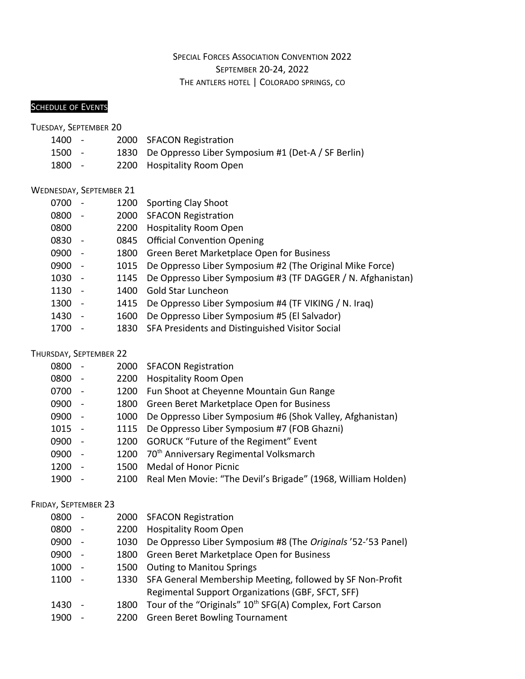## SPECIAL FORCES ASSOCIATION CONVENTION 2022 SEPTEMBER 20-24, 2022 THE ANTLERS HOTEL | COLORADO SPRINGS, CO

## **SCHEDULE OF EVENTS**

TUESDAY, SEPTEMBER 20

| 1400   | $\sim$ $-$ | 2000 SFACON Registration                                |
|--------|------------|---------------------------------------------------------|
| 1500 - |            | 1830 De Oppresso Liber Symposium #1 (Det-A / SF Berlin) |
| 1800 - |            | 2200 Hospitality Room Open                              |

#### WEDNESDAY, SEPTEMBER 21

| 0700 |                          |      | 1200 Sporting Clay Shoot                                      |
|------|--------------------------|------|---------------------------------------------------------------|
| 0800 |                          |      | 2000 SFACON Registration                                      |
| 0800 |                          | 2200 | <b>Hospitality Room Open</b>                                  |
| 0830 | $\overline{a}$           |      | 0845 Official Convention Opening                              |
| 0900 | $\overline{\phantom{a}}$ |      | 1800 Green Beret Marketplace Open for Business                |
| 0900 | $\overline{a}$           |      | 1015 De Oppresso Liber Symposium #2 (The Original Mike Force) |
| 1030 | $\overline{\phantom{a}}$ | 1145 | De Oppresso Liber Symposium #3 (TF DAGGER / N. Afghanistan)   |
| 1130 |                          | 1400 | <b>Gold Star Luncheon</b>                                     |
| 1300 | $\overline{a}$           | 1415 | De Oppresso Liber Symposium #4 (TF VIKING / N. Iraq)          |
| 1430 | $\overline{a}$           | 1600 | De Oppresso Liber Symposium #5 (El Salvador)                  |
| 1700 |                          | 1830 | SFA Presidents and Distinguished Visitor Social               |
|      |                          |      |                                                               |

### THURSDAY, SEPTEMBER 22

| 0800 | $\overline{\phantom{a}}$ | 2000 | <b>SFACON Registration</b>                                   |
|------|--------------------------|------|--------------------------------------------------------------|
| 0800 | $\overline{\phantom{a}}$ | 2200 | <b>Hospitality Room Open</b>                                 |
| 0700 |                          | 1200 | Fun Shoot at Cheyenne Mountain Gun Range                     |
| 0900 | $\overline{a}$           | 1800 | Green Beret Marketplace Open for Business                    |
| 0900 | $\overline{a}$           | 1000 | De Oppresso Liber Symposium #6 (Shok Valley, Afghanistan)    |
| 1015 | $\overline{\phantom{a}}$ | 1115 | De Oppresso Liber Symposium #7 (FOB Ghazni)                  |
| 0900 | $\overline{\phantom{a}}$ | 1200 | <b>GORUCK "Future of the Regiment" Event</b>                 |
| 0900 | $\overline{a}$           |      | 1200 70 <sup>th</sup> Anniversary Regimental Volksmarch      |
| 1200 |                          | 1500 | Medal of Honor Picnic                                        |
| 1900 |                          | 2100 | Real Men Movie: "The Devil's Brigade" (1968, William Holden) |

# FRIDAY, SEPTEMBER 23

| 0800 | $\sim$                   |      | 2000 SFACON Registration                                             |
|------|--------------------------|------|----------------------------------------------------------------------|
| 0800 | $\overline{\phantom{a}}$ | 2200 | <b>Hospitality Room Open</b>                                         |
| 0900 | $\overline{\phantom{0}}$ | 1030 | De Oppresso Liber Symposium #8 (The Originals '52-'53 Panel)         |
| 0900 | $\overline{\phantom{a}}$ | 1800 | Green Beret Marketplace Open for Business                            |
| 1000 | $\overline{\phantom{a}}$ | 1500 | <b>Outing to Manitou Springs</b>                                     |
| 1100 | $\overline{\phantom{a}}$ |      | 1330 SFA General Membership Meeting, followed by SF Non-Profit       |
|      |                          |      | Regimental Support Organizations (GBF, SFCT, SFF)                    |
| 1430 |                          | 1800 | Tour of the "Originals" 10 <sup>th</sup> SFG(A) Complex, Fort Carson |
| 1900 |                          | 2200 | <b>Green Beret Bowling Tournament</b>                                |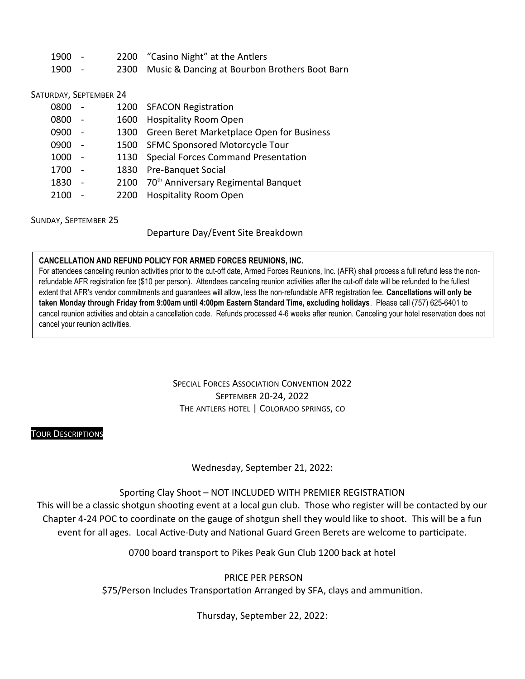| 1900 - | 2200 "Casino Night" at the Antlers                 |
|--------|----------------------------------------------------|
| 1900 - | 2300 Music & Dancing at Bourbon Brothers Boot Barn |

SATURDAY, SEPTEMBER 24

| 0800 | $\sim$ $-$               |      | 1200 SFACON Registration                             |
|------|--------------------------|------|------------------------------------------------------|
| 0800 | $\overline{a}$           | 1600 | <b>Hospitality Room Open</b>                         |
| 0900 | $\sim$                   | 1300 | Green Beret Marketplace Open for Business            |
| 0900 | $\overline{a}$           |      | 1500 SFMC Sponsored Motorcycle Tour                  |
| 1000 | $\sim$                   |      | 1130 Special Forces Command Presentation             |
| 1700 | $\overline{a}$           | 1830 | <b>Pre-Banquet Social</b>                            |
| 1830 | $\overline{\phantom{a}}$ |      | 2100 70 <sup>th</sup> Anniversary Regimental Banquet |
| 2100 |                          | 2200 | <b>Hospitality Room Open</b>                         |
|      |                          |      |                                                      |

SUNDAY, SEPTEMBER 25

Departure Day/Event Site Breakdown

#### **CANCELLATION AND REFUND POLICY FOR ARMED FORCES REUNIONS, INC.**

For attendees canceling reunion activities prior to the cut-off date, Armed Forces Reunions, Inc. (AFR) shall process a full refund less the nonrefundable AFR registration fee (\$10 per person). Attendees canceling reunion activities after the cut-off date will be refunded to the fullest extent that AFR's vendor commitments and guarantees will allow, less the non-refundable AFR registration fee. **Cancellations will only be taken Monday through Friday from 9:00am until 4:00pm Eastern Standard Time, excluding holidays**. Please call (757) 625-6401 to cancel reunion activities and obtain a cancellation code. Refunds processed 4-6 weeks after reunion. Canceling your hotel reservation does not cancel your reunion activities.

> SPECIAL FORCES ASSOCIATION CONVENTION 2022 SEPTEMBER 20-24, 2022 THE ANTLERS HOTEL | COLORADO SPRINGS, CO

#### TOUR DESCRIPTIONS

Wednesday, September 21, 2022:

Sporting Clay Shoot – NOT INCLUDED WITH PREMIER REGISTRATION

This will be a classic shotgun shooting event at a local gun club. Those who register will be contacted by our Chapter 4-24 POC to coordinate on the gauge of shotgun shell they would like to shoot. This will be a fun event for all ages. Local Active-Duty and National Guard Green Berets are welcome to participate.

0700 board transport to Pikes Peak Gun Club 1200 back at hotel

PRICE PER PERSON

\$75/Person Includes Transportation Arranged by SFA, clays and ammunition.

Thursday, September 22, 2022: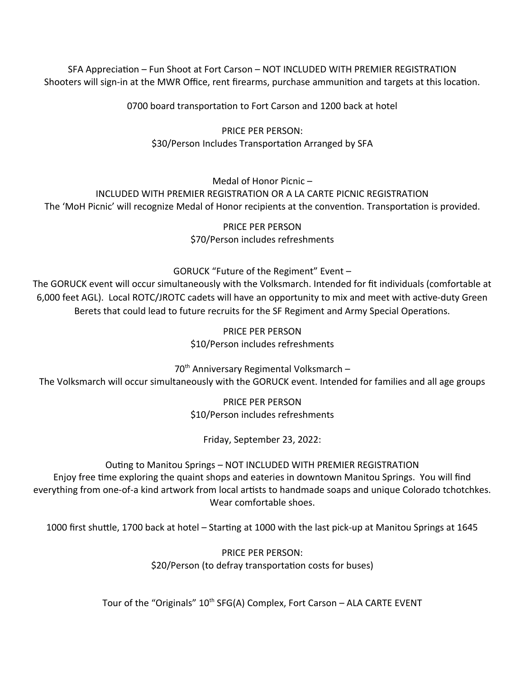SFA Appreciation – Fun Shoot at Fort Carson – NOT INCLUDED WITH PREMIER REGISTRATION Shooters will sign-in at the MWR Office, rent firearms, purchase ammunition and targets at this location.

0700 board transportation to Fort Carson and 1200 back at hotel

PRICE PER PERSON: \$30/Person Includes Transportation Arranged by SFA

Medal of Honor Picnic –

INCLUDED WITH PREMIER REGISTRATION OR A LA CARTE PICNIC REGISTRATION

The 'MoH Picnic' will recognize Medal of Honor recipients at the convention. Transportation is provided.

PRICE PER PERSON \$70/Person includes refreshments

### GORUCK "Future of the Regiment" Event –

The GORUCK event will occur simultaneously with the Volksmarch. Intended for fit individuals (comfortable at 6,000 feet AGL). Local ROTC/JROTC cadets will have an opportunity to mix and meet with active-duty Green Berets that could lead to future recruits for the SF Regiment and Army Special Operations.

> PRICE PER PERSON \$10/Person includes refreshments

70<sup>th</sup> Anniversary Regimental Volksmarch -

The Volksmarch will occur simultaneously with the GORUCK event. Intended for families and all age groups

PRICE PER PERSON \$10/Person includes refreshments

Friday, September 23, 2022:

### Outing to Manitou Springs – NOT INCLUDED WITH PREMIER REGISTRATION

Enjoy free time exploring the quaint shops and eateries in downtown Manitou Springs. You will find everything from one-of-a kind artwork from local artists to handmade soaps and unique Colorado tchotchkes. Wear comfortable shoes.

1000 first shuttle, 1700 back at hotel – Starting at 1000 with the last pick-up at Manitou Springs at 1645

PRICE PER PERSON: \$20/Person (to defray transportation costs for buses)

Tour of the "Originals"  $10<sup>th</sup> SFG(A)$  Complex, Fort Carson – ALA CARTE EVENT